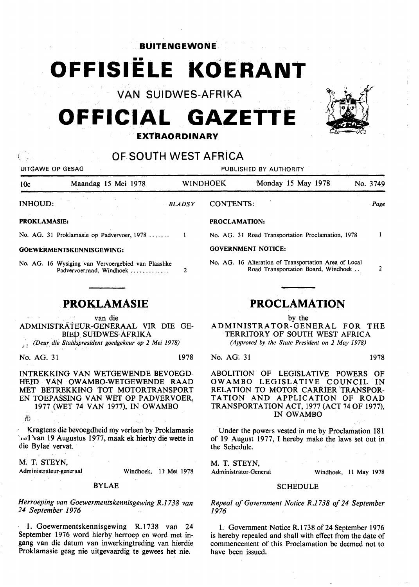## **BUITENGEVVONE.**

# **OFFISIELE KOERANT**

**VAN SUIDWES-AFRIKA** 

# **OFFICIAL GAZETTE EXTRAORDINARY**



# **OF SOUTH WEST AFRICA**

| UITGAWE OP GESAG                                                                                                                                   |                                                                                 |                     | PUBLISHED BY AUTHORITY                                                                                                       |                                                                                                                   |               |                     |  |
|----------------------------------------------------------------------------------------------------------------------------------------------------|---------------------------------------------------------------------------------|---------------------|------------------------------------------------------------------------------------------------------------------------------|-------------------------------------------------------------------------------------------------------------------|---------------|---------------------|--|
| 10c                                                                                                                                                | Maandag 15 Mei 1978                                                             |                     | <b>WINDHOEK</b>                                                                                                              | Monday 15 May 1978                                                                                                |               | No. 3749            |  |
| <b>INHOUD:</b>                                                                                                                                     |                                                                                 | <b>BLADSY</b>       | <b>CONTENTS:</b>                                                                                                             |                                                                                                                   |               | Page                |  |
| <b>PROKLAMASIE:</b>                                                                                                                                |                                                                                 |                     | <b>PROCLAMATION:</b>                                                                                                         |                                                                                                                   |               |                     |  |
|                                                                                                                                                    | No. AG. 31 Proklamasie op Padvervoer, 1978                                      | -1                  |                                                                                                                              | No. AG. 31 Road Transportation Proclamation, 1978                                                                 |               | -1                  |  |
| GOEWERMENTSKENNISGEWING:                                                                                                                           |                                                                                 |                     | <b>GOVERNMENT NOTICE:</b>                                                                                                    |                                                                                                                   |               |                     |  |
|                                                                                                                                                    | No. AG. 16 Wysiging van Vervoergebied van Plaaslike<br>Padvervoerraad, Windhoek | 2                   |                                                                                                                              | No. AG. 16 Alteration of Transportation Area of Local<br>Road Transportation Board, Windhoek                      |               | 2                   |  |
|                                                                                                                                                    | <b>PROKLAMASIE</b>                                                              | <b>PROCLAMATION</b> |                                                                                                                              |                                                                                                                   |               |                     |  |
| van die<br>ADMINISTRATEUR-GENERAAL VIR DIE GE-<br><b>BIED SUIDWES-AFRIKA</b><br>(Deur die Staatspresident goedgekeur op 2 Mei 1978)<br>32          |                                                                                 |                     | by the<br>ADMINISTRATOR-GENERAL FOR THE<br>TERRITORY OF SOUTH WEST AFRICA<br>(Approved by the State President on 2 May 1978) |                                                                                                                   |               |                     |  |
| No. AG. 31                                                                                                                                         |                                                                                 | 1978                | No. AG. 31                                                                                                                   |                                                                                                                   |               | 1978                |  |
| INTREKKING VAN WETGEWENDE BEVOEGD-<br>HEID VAN OWAMBO-WETGEWENDE RAAD<br>MET BETREKKING TOT MOTORTRANSPORT<br>EN TOEPASSING VAN WET OP PADVERVOER, |                                                                                 |                     | <b>ABOLITION</b><br>OWAMBO                                                                                                   | OF<br>LEGISLATIVE<br>LEGISLATIVE COUNCIL<br>RELATION TO MOTOR CARRIER TRANSPOR-<br>TATION AND APPLICATION OF ROAD | <b>POWERS</b> | ΟF<br>$^{\circ}$ IN |  |

1977 (WET 74 VAN 1977), IN OWAMBO

*ih* 

Kragtens die bevoegdheid my verleen by Proklamasie rol van 19 Augustus 1977, maak ek hierby die wette in die Bylae vervat.

M. T, STEYN,

Administrateur-generaal

Windhoek, 11 Mei 1978

#### BYLAE

*Herroeping van Goewermentskennisgewing R.1738 van 24 September 1976* 

1. Goewermentskennisgewing R.1738 van 24 September 1976 word hierby herroep en word met ingang van die datum van inwerkingtreding van hierdie Proklamasie geag nie uitgevaardig te gewees het nie.

TATION AND APPLICATION OF ROAD TRANSPORTATION ACT, 1977 (ACT 74 OF 1977), IN OWAMBO

Under the powers vested in me by Proclamation 181 of 19 August 1977, I hereby make the laws set out in the Schedule.

M. T. STEYN,

Administrator-General Windhoek, 11 May 1978

### **SCHEDULE**

*Repeal of Government Notice R.1738 of 24 September 1976* 

1. Government Notice R.1738 of 24 September 1976 is hereby repealed and shall with effect from the date of commencement of this Proclamation be deemed not to have been issued.